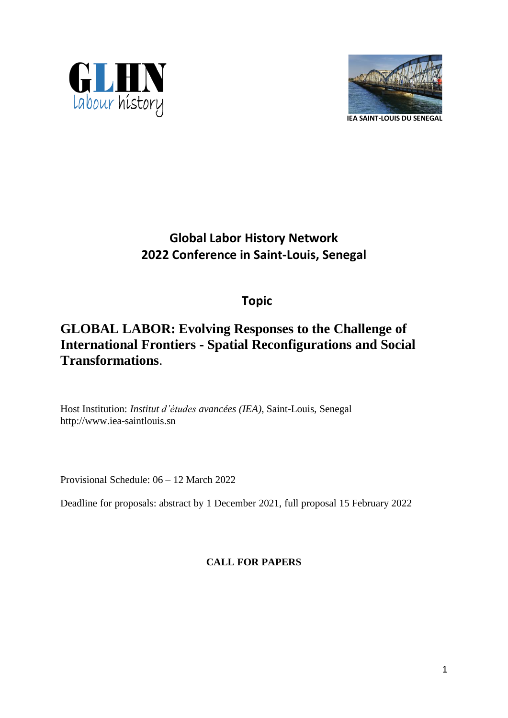



# **Global Labor History Network 2022 Conference in Saint-Louis, Senegal**

## **Topic**

## **GLOBAL LABOR: Evolving Responses to the Challenge of International Frontiers - Spatial Reconfigurations and Social Transformations**.

Host Institution: *Institut d'études avancées (IEA)*, Saint-Louis, Senegal http://www.iea-saintlouis.sn

Provisional Schedule: 06 – 12 March 2022

Deadline for proposals: abstract by 1 December 2021, full proposal 15 February 2022

**CALL FOR PAPERS**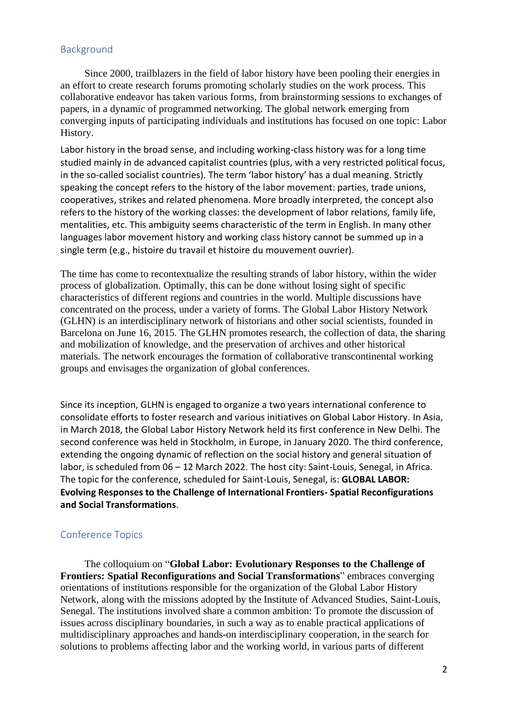### Background

Since 2000, trailblazers in the field of labor history have been pooling their energies in an effort to create research forums promoting scholarly studies on the work process. This collaborative endeavor has taken various forms, from brainstorming sessions to exchanges of papers, in a dynamic of programmed networking. The global network emerging from converging inputs of participating individuals and institutions has focused on one topic: Labor History.

Labor history in the broad sense, and including working-class history was for a long time studied mainly in de advanced capitalist countries (plus, with a very restricted political focus, in the so-called socialist countries). The term 'labor history' has a dual meaning. Strictly speaking the concept refers to the history of the labor movement: parties, trade unions, cooperatives, strikes and related phenomena. More broadly interpreted, the concept also refers to the history of the working classes: the development of labor relations, family life, mentalities, etc. This ambiguity seems characteristic of the term in English. In many other languages labor movement history and working class history cannot be summed up in a single term (e.g., histoire du travail et histoire du mouvement ouvrier).

The time has come to recontextualize the resulting strands of labor history, within the wider process of globalization. Optimally, this can be done without losing sight of specific characteristics of different regions and countries in the world. Multiple discussions have concentrated on the process, under a variety of forms. The Global Labor History Network (GLHN) is an interdisciplinary network of historians and other social scientists, founded in Barcelona on June 16, 2015. The GLHN promotes research, the collection of data, the sharing and mobilization of knowledge, and the preservation of archives and other historical materials. The network encourages the formation of collaborative transcontinental working groups and envisages the organization of global conferences.

Since its inception, GLHN is engaged to organize a two years international conference to consolidate efforts to foster research and various initiatives on Global Labor History. In Asia, in March 2018, the Global Labor History Network held its first conference in New Delhi. The second conference was held in Stockholm, in Europe, in January 2020. The third conference, extending the ongoing dynamic of reflection on the social history and general situation of labor, is scheduled from 06 – 12 March 2022. The host city: Saint-Louis, Senegal, in Africa. The topic for the conference, scheduled for Saint-Louis, Senegal, is: **GLOBAL LABOR: Evolving Responses to the Challenge of International Frontiers- Spatial Reconfigurations and Social Transformations**.

#### Conference Topics

The colloquium on "**Global Labor: Evolutionary Responses to the Challenge of Frontiers: Spatial Reconfigurations and Social Transformations**" embraces converging orientations of institutions responsible for the organization of the Global Labor History Network, along with the missions adopted by the Institute of Advanced Studies, Saint-Louis, Senegal. The institutions involved share a common ambition: To promote the discussion of issues across disciplinary boundaries, in such a way as to enable practical applications of multidisciplinary approaches and hands-on interdisciplinary cooperation, in the search for solutions to problems affecting labor and the working world, in various parts of different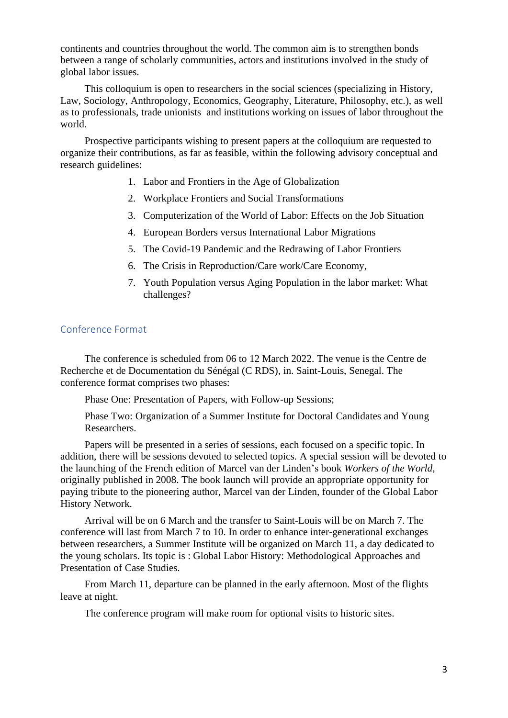continents and countries throughout the world. The common aim is to strengthen bonds between a range of scholarly communities, actors and institutions involved in the study of global labor issues.

This colloquium is open to researchers in the social sciences (specializing in History, Law, Sociology, Anthropology, Economics, Geography, Literature, Philosophy, etc.), as well as to professionals, trade unionists and institutions working on issues of labor throughout the world.

Prospective participants wishing to present papers at the colloquium are requested to organize their contributions, as far as feasible, within the following advisory conceptual and research guidelines:

- 1. Labor and Frontiers in the Age of Globalization
- 2. Workplace Frontiers and Social Transformations
- 3. Computerization of the World of Labor: Effects on the Job Situation
- 4. European Borders versus International Labor Migrations
- 5. The Covid-19 Pandemic and the Redrawing of Labor Frontiers
- 6. The Crisis in Reproduction/Care work/Care Economy,
- 7. Youth Population versus Aging Population in the labor market: What challenges?

#### Conference Format

The conference is scheduled from 06 to 12 March 2022. The venue is the Centre de Recherche et de Documentation du Sénégal (C RDS), in. Saint-Louis, Senegal. The conference format comprises two phases:

Phase One: Presentation of Papers, with Follow-up Sessions;

Phase Two: Organization of a Summer Institute for Doctoral Candidates and Young Researchers.

Papers will be presented in a series of sessions, each focused on a specific topic. In addition, there will be sessions devoted to selected topics. A special session will be devoted to the launching of the French edition of Marcel van der Linden's book *Workers of the World*, originally published in 2008. The book launch will provide an appropriate opportunity for paying tribute to the pioneering author, Marcel van der Linden, founder of the Global Labor History Network.

Arrival will be on 6 March and the transfer to Saint-Louis will be on March 7. The conference will last from March 7 to 10. In order to enhance inter-generational exchanges between researchers, a Summer Institute will be organized on March 11, a day dedicated to the young scholars. Its topic is : Global Labor History: Methodological Approaches and Presentation of Case Studies.

From March 11, departure can be planned in the early afternoon. Most of the flights leave at night.

The conference program will make room for optional visits to historic sites.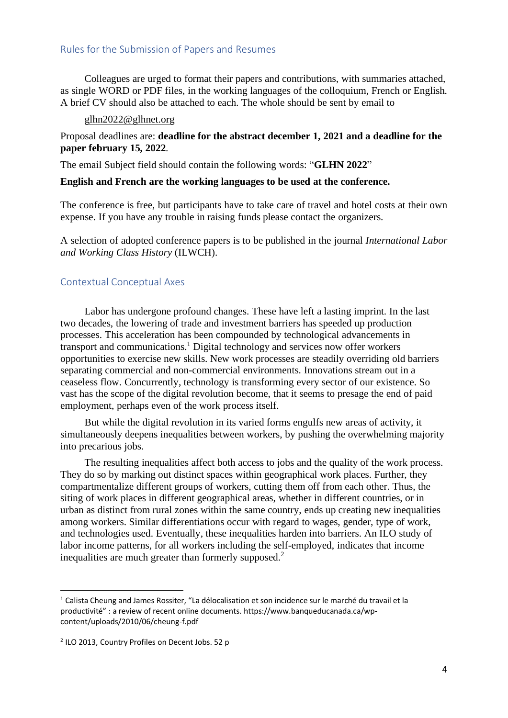## Rules for the Submission of Papers and Resumes

Colleagues are urged to format their papers and contributions, with summaries attached, as single WORD or PDF files, in the working languages of the colloquium, French or English. A brief CV should also be attached to each. The whole should be sent by email to

#### [glhn2022@glhnet.org](mailto:conferences@iea-saintlouis.sn)

## Proposal deadlines are: **deadline for the abstract december 1, 2021 and a deadline for the paper february 15, 2022**.

The email Subject field should contain the following words: "**GLHN 2022**"

#### **English and French are the working languages to be used at the conference.**

The conference is free, but participants have to take care of travel and hotel costs at their own expense. If you have any trouble in raising funds please contact the organizers.

A selection of adopted conference papers is to be published in the journal *International Labor and Working Class History* (ILWCH).

#### Contextual Conceptual Axes

Labor has undergone profound changes. These have left a lasting imprint. In the last two decades, the lowering of trade and investment barriers has speeded up production processes. This acceleration has been compounded by technological advancements in transport and communications.<sup>1</sup> Digital technology and services now offer workers opportunities to exercise new skills. New work processes are steadily overriding old barriers separating commercial and non-commercial environments. Innovations stream out in a ceaseless flow. Concurrently, technology is transforming every sector of our existence. So vast has the scope of the digital revolution become, that it seems to presage the end of paid employment, perhaps even of the work process itself.

But while the digital revolution in its varied forms engulfs new areas of activity, it simultaneously deepens inequalities between workers, by pushing the overwhelming majority into precarious jobs.

The resulting inequalities affect both access to jobs and the quality of the work process. They do so by marking out distinct spaces within geographical work places. Further, they compartmentalize different groups of workers, cutting them off from each other. Thus, the siting of work places in different geographical areas, whether in different countries, or in urban as distinct from rural zones within the same country, ends up creating new inequalities among workers. Similar differentiations occur with regard to wages, gender, type of work, and technologies used. Eventually, these inequalities harden into barriers. An ILO study of labor income patterns, for all workers including the self-employed, indicates that income inequalities are much greater than formerly supposed.<sup>2</sup>

 $1$  Calista Cheung and James Rossiter, "La délocalisation et son incidence sur le marché du travail et la productivité" : a review of recent online documents. https://www.banqueducanada.ca/wpcontent/uploads/2010/06/cheung-f.pdf

<sup>&</sup>lt;sup>2</sup> ILO 2013, Country Profiles on Decent Jobs. 52 p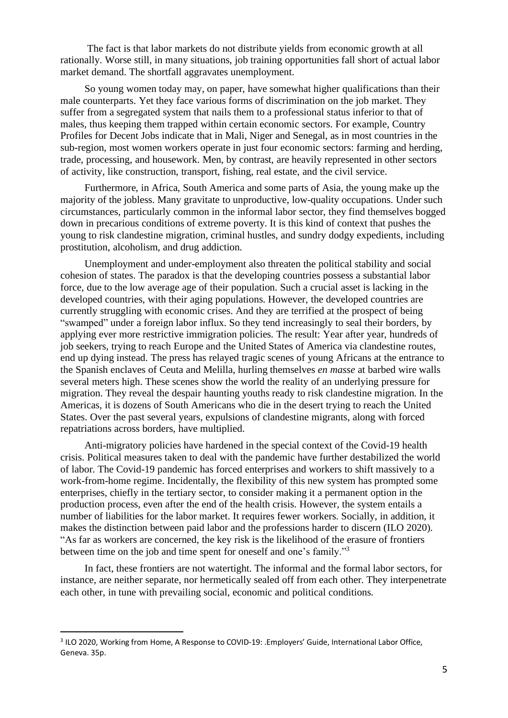The fact is that labor markets do not distribute yields from economic growth at all rationally. Worse still, in many situations, job training opportunities fall short of actual labor market demand. The shortfall aggravates unemployment.

So young women today may, on paper, have somewhat higher qualifications than their male counterparts. Yet they face various forms of discrimination on the job market. They suffer from a segregated system that nails them to a professional status inferior to that of males, thus keeping them trapped within certain economic sectors. For example, Country Profiles for Decent Jobs indicate that in Mali, Niger and Senegal, as in most countries in the sub-region, most women workers operate in just four economic sectors: farming and herding, trade, processing, and housework. Men, by contrast, are heavily represented in other sectors of activity, like construction, transport, fishing, real estate, and the civil service.

Furthermore, in Africa, South America and some parts of Asia, the young make up the majority of the jobless. Many gravitate to unproductive, low-quality occupations. Under such circumstances, particularly common in the informal labor sector, they find themselves bogged down in precarious conditions of extreme poverty. It is this kind of context that pushes the young to risk clandestine migration, criminal hustles, and sundry dodgy expedients, including prostitution, alcoholism, and drug addiction.

Unemployment and under-employment also threaten the political stability and social cohesion of states. The paradox is that the developing countries possess a substantial labor force, due to the low average age of their population. Such a crucial asset is lacking in the developed countries, with their aging populations. However, the developed countries are currently struggling with economic crises. And they are terrified at the prospect of being "swamped" under a foreign labor influx. So they tend increasingly to seal their borders, by applying ever more restrictive immigration policies. The result: Year after year, hundreds of job seekers, trying to reach Europe and the United States of America via clandestine routes, end up dying instead. The press has relayed tragic scenes of young Africans at the entrance to the Spanish enclaves of Ceuta and Melilla, hurling themselves *en masse* at barbed wire walls several meters high. These scenes show the world the reality of an underlying pressure for migration. They reveal the despair haunting youths ready to risk clandestine migration. In the Americas, it is dozens of South Americans who die in the desert trying to reach the United States. Over the past several years, expulsions of clandestine migrants, along with forced repatriations across borders, have multiplied.

Anti-migratory policies have hardened in the special context of the Covid-19 health crisis. Political measures taken to deal with the pandemic have further destabilized the world of labor. The Covid-19 pandemic has forced enterprises and workers to shift massively to a work-from-home regime. Incidentally, the flexibility of this new system has prompted some enterprises, chiefly in the tertiary sector, to consider making it a permanent option in the production process, even after the end of the health crisis. However, the system entails a number of liabilities for the labor market. It requires fewer workers. Socially, in addition, it makes the distinction between paid labor and the professions harder to discern (ILO 2020). "As far as workers are concerned, the key risk is the likelihood of the erasure of frontiers between time on the job and time spent for oneself and one's family."<sup>3</sup>

In fact, these frontiers are not watertight. The informal and the formal labor sectors, for instance, are neither separate, nor hermetically sealed off from each other. They interpenetrate each other, in tune with prevailing social, economic and political conditions.

<sup>&</sup>lt;sup>3</sup> ILO 2020, Working from Home, A Response to COVID-19: .Employers' Guide, International Labor Office, Geneva. 35p.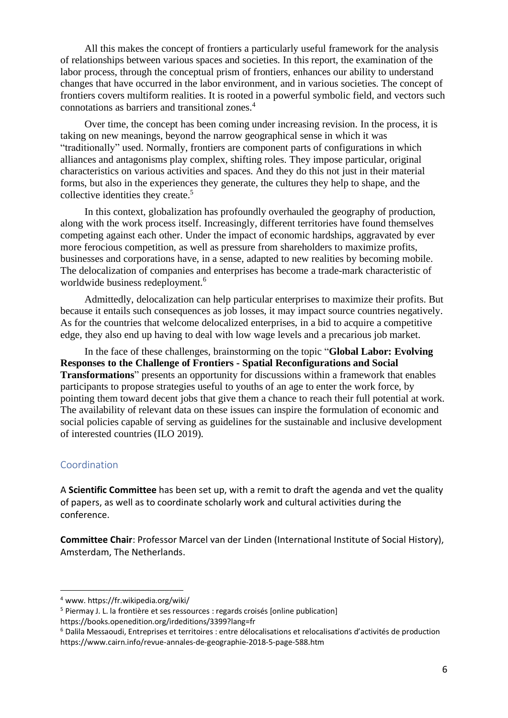All this makes the concept of frontiers a particularly useful framework for the analysis of relationships between various spaces and societies. In this report, the examination of the labor process, through the conceptual prism of frontiers, enhances our ability to understand changes that have occurred in the labor environment, and in various societies. The concept of frontiers covers multiform realities. It is rooted in a powerful symbolic field, and vectors such connotations as barriers and transitional zones. 4

Over time, the concept has been coming under increasing revision. In the process, it is taking on new meanings, beyond the narrow geographical sense in which it was "traditionally" used. Normally, frontiers are component parts of configurations in which alliances and antagonisms play complex, shifting roles. They impose particular, original characteristics on various activities and spaces. And they do this not just in their material forms, but also in the experiences they generate, the cultures they help to shape, and the collective identities they create.<sup>5</sup>

In this context, globalization has profoundly overhauled the geography of production, along with the work process itself. Increasingly, different territories have found themselves competing against each other. Under the impact of economic hardships, aggravated by ever more ferocious competition, as well as pressure from shareholders to maximize profits, businesses and corporations have, in a sense, adapted to new realities by becoming mobile. The delocalization of companies and enterprises has become a trade-mark characteristic of worldwide business redeployment.<sup>6</sup>

Admittedly, delocalization can help particular enterprises to maximize their profits. But because it entails such consequences as job losses, it may impact source countries negatively. As for the countries that welcome delocalized enterprises, in a bid to acquire a competitive edge, they also end up having to deal with low wage levels and a precarious job market.

In the face of these challenges, brainstorming on the topic "**Global Labor: Evolving Responses to the Challenge of Frontiers - Spatial Reconfigurations and Social Transformations**" presents an opportunity for discussions within a framework that enables participants to propose strategies useful to youths of an age to enter the work force, by pointing them toward decent jobs that give them a chance to reach their full potential at work. The availability of relevant data on these issues can inspire the formulation of economic and social policies capable of serving as guidelines for the sustainable and inclusive development of interested countries (ILO 2019).

### Coordination

A **Scientific Committee** has been set up, with a remit to draft the agenda and vet the quality of papers, as well as to coordinate scholarly work and cultural activities during the conference.

**Committee Chair**: Professor Marcel van der Linden (International Institute of Social History), Amsterdam, The Netherlands.

<sup>4</sup> www. https://fr.wikipedia.org/wiki/

<sup>5</sup> Piermay J. L. la frontière et ses ressources : regards croisés [online publication] https://books.openedition.org/irdeditions/3399?lang=fr

<sup>6</sup> Dalila Messaoudi, Entreprises et territoires : entre délocalisations et relocalisations d'activités de production https://www.cairn.info/revue-annales-de-geographie-2018-5-page-588.htm